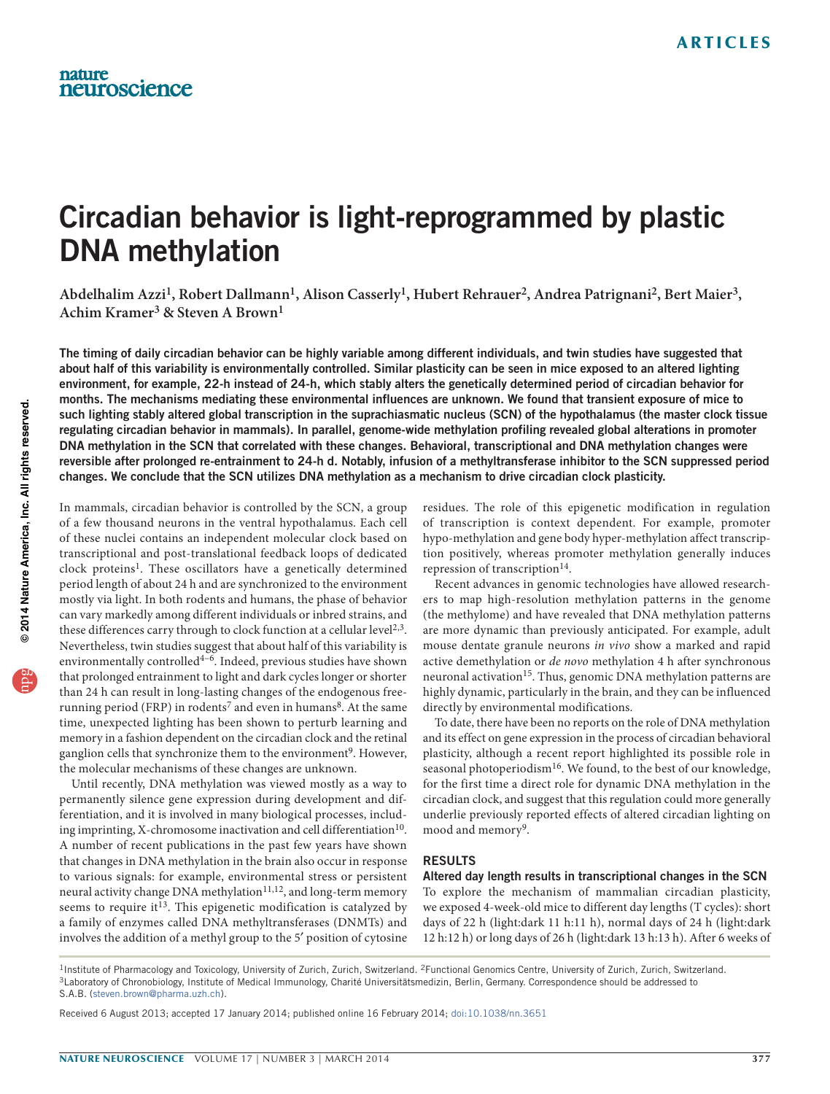# Circadian behavior is light-reprogrammed by plastic DNA methylation

**Abdelhalim Azzi1, Robert Dallmann1, Alison Casserly1, Hubert Rehrauer2, Andrea Patrignani2, Bert Maier3, Achim Kramer3 & Steven A Brown1**

The timing of daily circadian behavior can be highly variable among different individuals, and twin studies have suggested that about half of this variability is environmentally controlled. Similar plasticity can be seen in mice exposed to an altered lighting environment, for example, 22-h instead of 24-h, which stably alters the genetically determined period of circadian behavior for months. The mechanisms mediating these environmental influences are unknown. We found that transient exposure of mice to such lighting stably altered global transcription in the suprachiasmatic nucleus (SCN) of the hypothalamus (the master clock tissue regulating circadian behavior in mammals). In parallel, genome-wide methylation profiling revealed global alterations in promoter DNA methylation in the SCN that correlated with these changes. Behavioral, transcriptional and DNA methylation changes were reversible after prolonged re-entrainment to 24-h d. Notably, infusion of a methyltransferase inhibitor to the SCN suppressed period changes. We conclude that the SCN utilizes DNA methylation as a mechanism to drive circadian clock plasticity.

In mammals, circadian behavior is controlled by the SCN, a group of a few thousand neurons in the ventral hypothalamus. Each cell of these nuclei contains an independent molecular clock based on transcriptional and post-translational feedback loops of dedicated clock proteins<sup>[1](#page-5-0)</sup>. These oscillators have a genetically determined period length of about 24 h and are synchronized to the environment mostly via light. In both rodents and humans, the phase of behavior can vary markedly among different individuals or inbred strains, and these differences carry through to clock function at a cellular level<sup>[2,](#page-5-1)[3](#page-5-2)</sup>. Nevertheless, twin studies suggest that about half of this variability is environmentally controlled<sup>4-[6](#page-5-4)</sup>. Indeed, previous studies have shown that prolonged entrainment to light and dark cycles longer or shorter than 24 h can result in long-lasting changes of the endogenous free-running period (FRP) in rodents<sup>7</sup> and even in humans<sup>[8](#page-5-6)</sup>. At the same time, unexpected lighting has been shown to perturb learning and memory in a fashion dependent on the circadian clock and the retinal ganglion cells that synchronize them to the environment<sup>9</sup>. However, the molecular mechanisms of these changes are unknown.

Until recently, DNA methylation was viewed mostly as a way to permanently silence gene expression during development and differentiation, and it is involved in many biological processes, includ-ing imprinting, X-chromosome inactivation and cell differentiation<sup>[10](#page-5-8)</sup>. A number of recent publications in the past few years have shown that changes in DNA methylation in the brain also occur in response to various signals: for example, environmental stress or persistent neural activity change DNA methylation<sup>[11,](#page-5-9)12</sup>, and long-term memory seems to require it<sup>13</sup>. This epigenetic modification is catalyzed by a family of enzymes called DNA methyltransferases (DNMTs) and involves the addition of a methyl group to the 5′ position of cytosine

residues. The role of this epigenetic modification in regulation of transcription is context dependent. For example, promoter hypo-methylation and gene body hyper-methylation affect transcription positively, whereas promoter methylation generally induces repression of transcription<sup>[14](#page-5-12)</sup>.

Recent advances in genomic technologies have allowed researchers to map high-resolution methylation patterns in the genome (the methylome) and have revealed that DNA methylation patterns are more dynamic than previously anticipated. For example, adult mouse dentate granule neurons *in vivo* show a marked and rapid active demethylation or *de novo* methylation 4 h after synchronous neuronal activation<sup>15</sup>. Thus, genomic DNA methylation patterns are highly dynamic, particularly in the brain, and they can be influenced directly by environmental modifications.

To date, there have been no reports on the role of DNA methylation and its effect on gene expression in the process of circadian behavioral plasticity, although a recent report highlighted its possible role in seasonal photoperiodism<sup>16</sup>. We found, to the best of our knowledge, for the first time a direct role for dynamic DNA methylation in the circadian clock, and suggest that this regulation could more generally underlie previously reported effects of altered circadian lighting on mood and memory<sup>9</sup>.

#### RESULTS

Altered day length results in transcriptional changes in the SCN To explore the mechanism of mammalian circadian plasticity, we exposed 4-week-old mice to different day lengths (T cycles): short days of 22 h (light:dark 11 h:11 h), normal days of 24 h (light:dark 12 h:12 h) or long days of 26 h (light:dark 13 h:13 h). After 6 weeks of

<sup>&</sup>lt;sup>1</sup>Institute of Pharmacology and Toxicology, University of Zurich, Zurich, Switzerland. <sup>2</sup>Functional Genomics Centre, University of Zurich, Zurich, Switzerland.<br><sup>3</sup>Laboratory of Chronobiology, Institute of Medical Immunol S.A.B. (steven.brown@pharma.uzh.ch).

Received 6 August 2013; accepted 17 January 2014; published online 16 February 2014; [doi:10.1038/nn.3651](http://www.nature.com/doifinder/10.1038/nn.3651)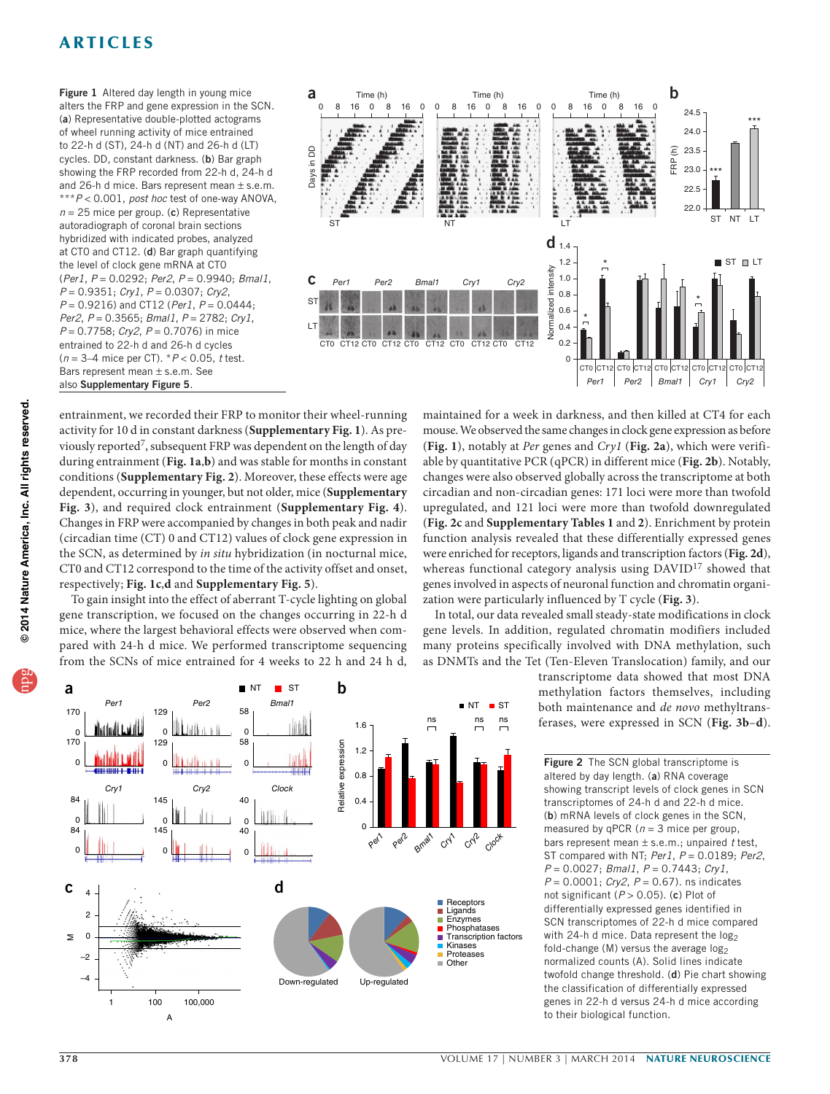<span id="page-1-0"></span>Figure 1 Altered day length in young mice alters the FRP and gene expression in the SCN. (a) Representative double-plotted actograms of wheel running activity of mice entrained to 22-h d (ST), 24-h d (NT) and 26-h d (LT) cycles. DD, constant darkness. (b) Bar graph showing the FRP recorded from 22-h d, 24-h d and 26-h d mice. Bars represent mean  $\pm$  s.e.m. \*\*\**P* < 0.001, *post hoc* test of one-way ANOVA, *n* = 25 mice per group. (c) Representative autoradiograph of coronal brain sections hybridized with indicated probes, analyzed at CT0 and CT12. (d) Bar graph quantifying the level of clock gene mRNA at CT0 (*Per1*, *P* = 0.0292; *Per2*, *P* = 0.9940; *Bmal1*, *P* = 0.9351; *Cry1*, *P* = 0.0307; *Cry2*, *P* = 0.9216) and CT12 (*Per1*, *P* = 0.0444; *Per2*, *P* = 0.3565; *Bmal1*, *P* = 2782; *Cry1*, *P* = 0.7758; *Cry2*, *P* = 0.7076) in mice entrained to 22-h d and 26-h d cycles (*n* = 3–4 mice per CT). \**P* < 0.05, *t* test. Bars represent mean ± s.e.m. See also Supplementary Figure 5.



entrainment, we recorded their FRP to monitor their wheel-running activity for 10 d in constant darkness (**Supplementary Fig. 1**). As previously reported[7,](#page-5-5) subsequent FRP was dependent on the length of day during entrainment (**[Fig. 1a](#page-1-0)**,**b**) and was stable for months in constant conditions (**Supplementary Fig. 2**). Moreover, these effects were age dependent, occurring in younger, but not older, mice (**Supplementary Fig. 3**), and required clock entrainment (**Supplementary Fig. 4**). Changes in FRP were accompanied by changes in both peak and nadir (circadian time (CT) 0 and CT12) values of clock gene expression in the SCN, as determined by *in situ* hybridization (in nocturnal mice, CT0 and CT12 correspond to the time of the activity offset and onset, respectively; **[Fig. 1c](#page-1-0)**,**d** and **Supplementary Fig. 5**).

To gain insight into the effect of aberrant T-cycle lighting on global gene transcription, we focused on the changes occurring in 22-h d mice, where the largest behavioral effects were observed when compared with 24-h d mice. We performed transcriptome sequencing from the SCNs of mice entrained for 4 weeks to 22 h and 24 h d, maintained for a week in darkness, and then killed at CT4 for each mouse. We observed the same changes in clock gene expression as before (**[Fig. 1](#page-1-0)**), notably at *Per* genes and *Cry1* (**[Fig. 2a](#page-1-1)**), which were verifiable by quantitative PCR (qPCR) in different mice (**[Fig. 2b](#page-1-1)**). Notably, changes were also observed globally across the transcriptome at both circadian and non-circadian genes: 171 loci were more than twofold upregulated, and 121 loci were more than twofold downregulated (**[Fig. 2c](#page-1-1)** and **Supplementary Tables 1** and **2**). Enrichment by protein function analysis revealed that these differentially expressed genes were enriched for receptors, ligands and transcription factors (**[Fig. 2d](#page-1-1)**), whereas functional category analysis using DAVID<sup>17</sup> showed that genes involved in aspects of neuronal function and chromatin organization were particularly influenced by T cycle (**[Fig. 3](#page-2-0)**).

In total, our data revealed small steady-state modifications in clock gene levels. In addition, regulated chromatin modifiers included many proteins specifically involved with DNA methylation, such as DNMTs and the Tet (Ten-Eleven Translocation) family, and our

> transcriptome data showed that most DNA methylation factors themselves, including both maintenance and *de novo* methyltransferases, were expressed in SCN (**[Fig. 3b](#page-2-0)**–**d**).

<span id="page-1-1"></span>Figure 2 The SCN global transcriptome is altered by day length. (a) RNA coverage showing transcript levels of clock genes in SCN transcriptomes of 24-h d and 22-h d mice. (b) mRNA levels of clock genes in the SCN, measured by qPCR (*n* = 3 mice per group, bars represent mean ± s.e.m.; unpaired *t* test, ST compared with NT; *Per1*, *P* = 0.0189; *Per2*, *P* = 0.0027; *Bmal1*, *P* = 0.7443; *Cry1*, *P* = 0.0001; *Cry2*, *P* = 0.67). ns indicates not significant (*P* > 0.05). (c) Plot of differentially expressed genes identified in SCN transcriptomes of 22-h d mice compared with 24-h d mice. Data represent the  $log_2$ fold-change (M) versus the average  $log_2$ normalized counts (A). Solid lines indicate twofold change threshold. (d) Pie chart showing the classification of differentially expressed genes in 22-h d versus 24-h d mice according to their biological function.





A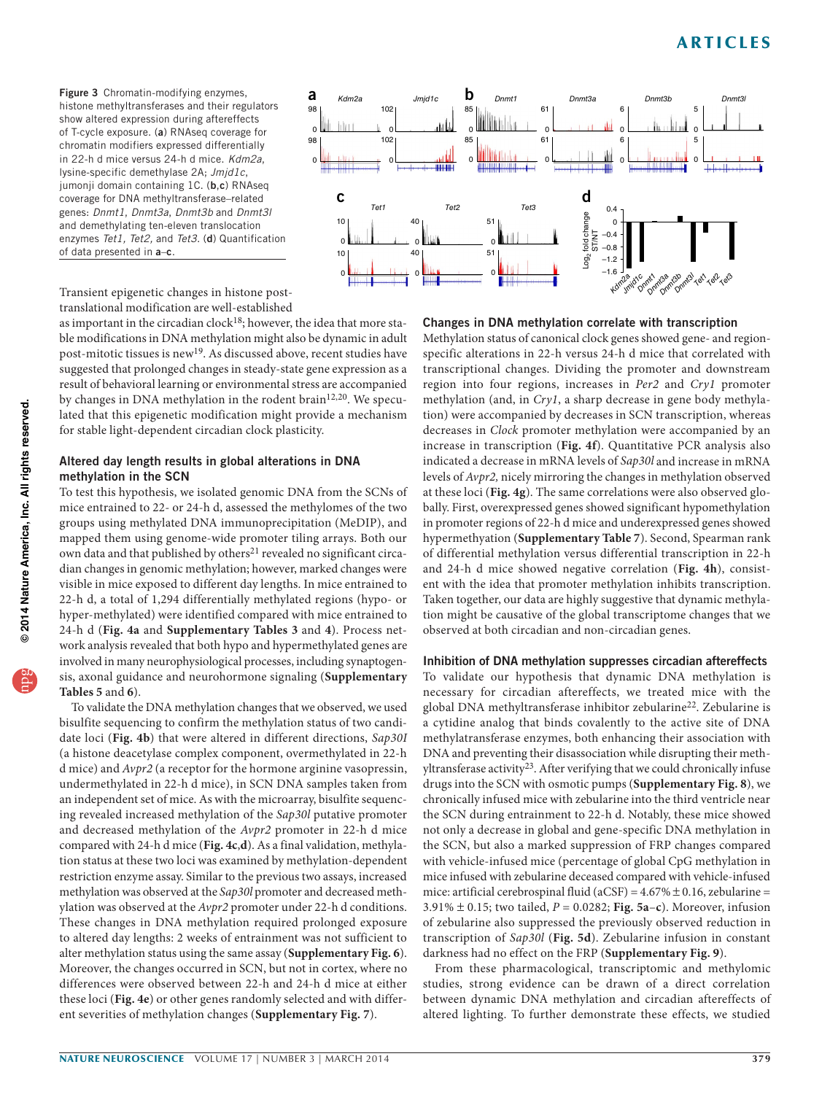<span id="page-2-0"></span>Figure 3 Chromatin-modifying enzymes, a histone methyltransferases and their regulators show altered expression during aftereffects of T-cycle exposure. (a) RNAseq coverage for chromatin modifiers expressed differentially in 22-h d mice versus 24-h d mice. *Kdm2a*, lysine-specific demethylase 2A; *Jmjd1c*, jumonji domain containing 1C. (b,c) RNAseq coverage for DNA methyltransferase–related genes: *Dnmt1*, *Dnmt3a*, *Dnmt3b* and *Dnmt3l* and demethylating ten-eleven translocation enzymes *Tet1, Tet2,* and *Tet3*. (d) Quantification of data presented in a–c.



Transient epigenetic changes in histone posttranslational modification are well-established

as important in the circadian clock<sup>[18](#page-5-16)</sup>; however, the idea that more stable modifications in DNA methylation might also be dynamic in adult post-mitotic tissues is new[19](#page-5-17). As discussed above, recent studies have suggested that prolonged changes in steady-state gene expression as a result of behavioral learning or environmental stress are accompanied by changes in DNA methylation in the rodent brain<sup>[12,](#page-5-10)[20](#page-5-18)</sup>. We speculated that this epigenetic modification might provide a mechanism for stable light-dependent circadian clock plasticity.

### Altered day length results in global alterations in DNA methylation in the SCN

To test this hypothesis, we isolated genomic DNA from the SCNs of mice entrained to 22- or 24-h d, assessed the methylomes of the two groups using methylated DNA immunoprecipitation (MeDIP), and mapped them using genome-wide promoter tiling arrays. Both our own data and that published by others<sup>21</sup> revealed no significant circadian changes in genomic methylation; however, marked changes were visible in mice exposed to different day lengths. In mice entrained to 22-h d, a total of 1,294 differentially methylated regions (hypo- or hyper-methylated) were identified compared with mice entrained to 24-h d (**[Fig. 4a](#page-3-0)** and **Supplementary Tables 3** and **4**). Process network analysis revealed that both hypo and hypermethylated genes are involved in many neurophysiological processes, including synaptogensis, axonal guidance and neurohormone signaling (**Supplementary Tables 5** and **6**).

To validate the DNA methylation changes that we observed, we used bisulfite sequencing to confirm the methylation status of two candidate loci (**[Fig. 4b](#page-3-0)**) that were altered in different directions, *Sap30I* (a histone deacetylase complex component, overmethylated in 22-h d mice) and *Avpr2* (a receptor for the hormone arginine vasopressin, undermethylated in 22-h d mice), in SCN DNA samples taken from an independent set of mice. As with the microarray, bisulfite sequencing revealed increased methylation of the *Sap30l* putative promoter and decreased methylation of the *Avpr2* promoter in 22-h d mice compared with 24-h d mice (**[Fig. 4c](#page-3-0)**,**d**). As a final validation, methylation status at these two loci was examined by methylation-dependent restriction enzyme assay. Similar to the previous two assays, increased methylation was observed at the *Sap30l* promoter and decreased methylation was observed at the *Avpr2* promoter under 22-h d conditions. These changes in DNA methylation required prolonged exposure to altered day lengths: 2 weeks of entrainment was not sufficient to alter methylation status using the same assay (**Supplementary Fig. 6**). Moreover, the changes occurred in SCN, but not in cortex, where no differences were observed between 22-h and 24-h d mice at either these loci (**[Fig. 4e](#page-3-0)**) or other genes randomly selected and with different severities of methylation changes (**Supplementary Fig. 7**).

### Changes in DNA methylation correlate with transcription

Methylation status of canonical clock genes showed gene- and regionspecific alterations in 22-h versus 24-h d mice that correlated with transcriptional changes. Dividing the promoter and downstream region into four regions, increases in *Per2* and *Cry1* promoter methylation (and, in *Cry1*, a sharp decrease in gene body methylation) were accompanied by decreases in SCN transcription, whereas decreases in *Clock* promoter methylation were accompanied by an increase in transcription (**[Fig. 4f](#page-3-0)**). Quantitative PCR analysis also indicated a decrease in mRNA levels of *Sap30l* and increase in mRNA levels of *Avpr2,* nicely mirroring the changes in methylation observed at these loci (**[Fig. 4g](#page-3-0)**). The same correlations were also observed globally. First, overexpressed genes showed significant hypomethylation in promoter regions of 22-h d mice and underexpressed genes showed hypermethyation (**Supplementary Table 7**). Second, Spearman rank of differential methylation versus differential transcription in 22-h and 24-h d mice showed negative correlation (**[Fig. 4h](#page-3-0)**), consistent with the idea that promoter methylation inhibits transcription. Taken together, our data are highly suggestive that dynamic methylation might be causative of the global transcriptome changes that we observed at both circadian and non-circadian genes. **By the control of the control of the control of the control of the control of the control of the control of the control of the control of the control of the control of the control of the control of the control of the con** 

Inhibition of DNA methylation suppresses circadian aftereffects To validate our hypothesis that dynamic DNA methylation is necessary for circadian aftereffects, we treated mice with the global DNA methyltransferase inhibitor zebularine<sup>[22](#page-5-20)</sup>. Zebularine is a cytidine analog that binds covalently to the active site of DNA methylatransferase enzymes, both enhancing their association with DNA and preventing their disassociation while disrupting their meth-yltransferase activity<sup>[23](#page-5-21)</sup>. After verifying that we could chronically infuse drugs into the SCN with osmotic pumps (**Supplementary Fig. 8**), we chronically infused mice with zebularine into the third ventricle near the SCN during entrainment to 22-h d. Notably, these mice showed not only a decrease in global and gene-specific DNA methylation in the SCN, but also a marked suppression of FRP changes compared with vehicle-infused mice (percentage of global CpG methylation in mice infused with zebularine deceased compared with vehicle-infused mice: artificial cerebrospinal fluid (aCSF) =  $4.67\% \pm 0.16$ , zebularine = 3.91% ± 0.15; two tailed, *P* = 0.0282; **[Fig. 5a](#page-4-0)**–**c**). Moreover, infusion of zebularine also suppressed the previously observed reduction in transcription of *Sap30l* (**[Fig. 5d](#page-4-0)**). Zebularine infusion in constant darkness had no effect on the FRP (**Supplementary Fig. 9**).

From these pharmacological, transcriptomic and methylomic studies, strong evidence can be drawn of a direct correlation between dynamic DNA methylation and circadian aftereffects of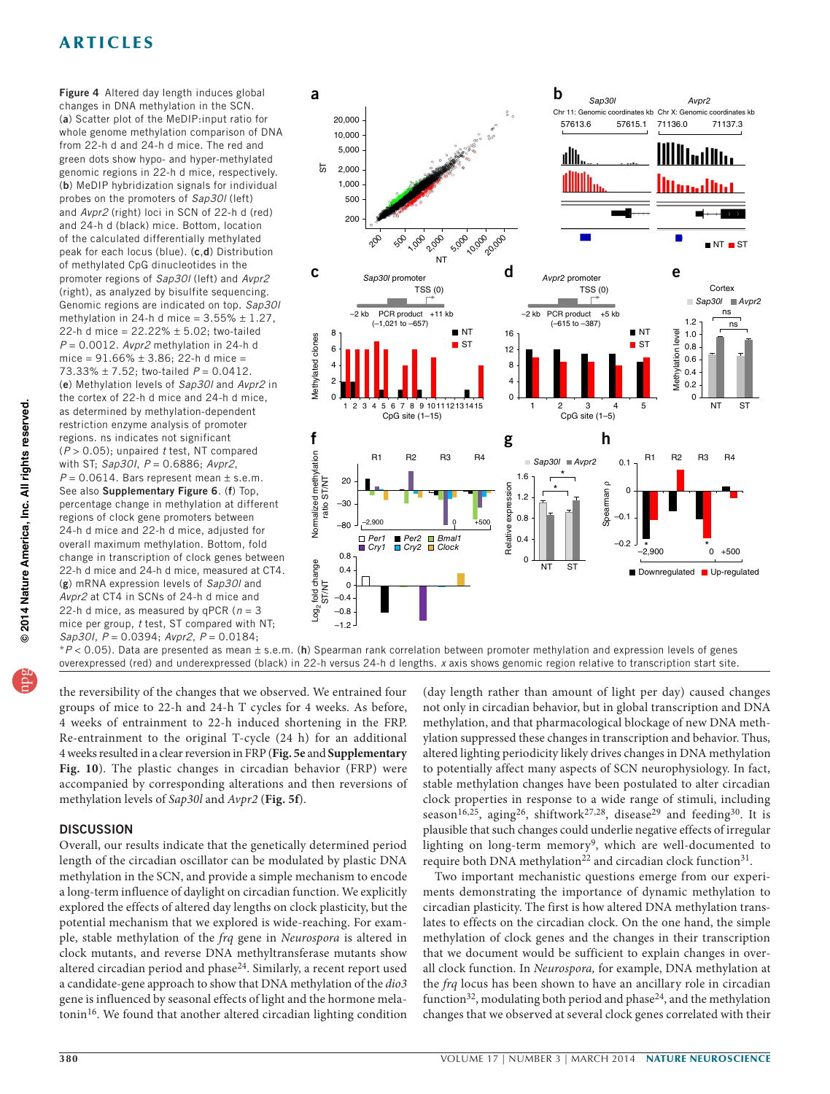<span id="page-3-0"></span>Figure 4 Altered day length induces global changes in DNA methylation in the SCN. (a) Scatter plot of the MeDIP:input ratio for whole genome methylation comparison of DNA from 22-h d and 24-h d mice. The red and green dots show hypo- and hyper-methylated genomic regions in 22-h d mice, respectively. (b) MeDIP hybridization signals for individual probes on the promoters of *Sap30l* (left) and *Avpr2* (right) loci in SCN of 22-h d (red) and 24-h d (black) mice. Bottom, location of the calculated differentially methylated peak for each locus (blue). (c,d) Distribution of methylated CpG dinucleotides in the promoter regions of *Sap30l* (left) and *Avpr2* (right), as analyzed by bisulfite sequencing. Genomic regions are indicated on top. *Sap30l* methylation in 24-h d mice =  $3.55\% \pm 1.27$ , 22-h d mice =  $22.22% \pm 5.02$ ; two-tailed *P* = 0.0012. *Avpr2* methylation in 24-h d mice =  $91.66\% \pm 3.86$ ; 22-h d mice = 73.33% ± 7.52; two-tailed *P* = 0.0412. (e) Methylation levels of *Sap30l* and *Avpr2* in the cortex of 22-h d mice and 24-h d mice, as determined by methylation-dependent restriction enzyme analysis of promoter regions. ns indicates not significant (*P* > 0.05); unpaired *t* test, NT compared with ST; *Sap30I*, *P* = 0.6886; *Avpr2*,  $P = 0.0614$ . Bars represent mean  $\pm$  s.e.m. See also Supplementary Figure 6. (f) Top, percentage change in methylation at different regions of clock gene promoters between 24-h d mice and 22-h d mice, adjusted for overall maximum methylation. Bottom, fold change in transcription of clock genes between 22-h d mice and 24-h d mice, measured at CT4. (g) mRNA expression levels of *Sap30l* and *Avpr2* at CT4 in SCNs of 24-h d mice and 22-h d mice, as measured by qPCR ( $n = 3$ mice per group, *t* test, ST compared with NT; *Sap30I*, *P* = 0.0394; *Avpr2*, *P* = 0.0184;



\**P* < 0.05). Data are presented as mean ± s.e.m. (h) Spearman rank correlation between promoter methylation and expression levels of genes overexpressed (red) and underexpressed (black) in 22-h versus 24-h d lengths. *x* axis shows genomic region relative to transcription start site.

the reversibility of the changes that we observed. We entrained four groups of mice to 22-h and 24-h T cycles for 4 weeks. As before, 4 weeks of entrainment to 22-h induced shortening in the FRP. Re-entrainment to the original T-cycle (24 h) for an additional 4 weeks resulted in a clear reversion in FRP (**[Fig. 5e](#page-4-0)** and **Supplementary Fig. 10**). The plastic changes in circadian behavior (FRP) were accompanied by corresponding alterations and then reversions of methylation levels of *Sap30l* and *Avpr2* (**[Fig. 5f](#page-4-0)**).

### **DISCUSSION**

Overall, our results indicate that the genetically determined period length of the circadian oscillator can be modulated by plastic DNA methylation in the SCN, and provide a simple mechanism to encode a long-term influence of daylight on circadian function. We explicitly explored the effects of altered day lengths on clock plasticity, but the potential mechanism that we explored is wide-reaching. For example, stable methylation of the *frq* gene in *Neurospora* is altered in clock mutants, and reverse DNA methyltransferase mutants show altered circadian period and phase[24.](#page-5-22) Similarly, a recent report used a candidate-gene approach to show that DNA methylation of the *dio3* gene is influenced by seasonal effects of light and the hormone melatonin[16](#page-5-14). We found that another altered circadian lighting condition

(day length rather than amount of light per day) caused changes not only in circadian behavior, but in global transcription and DNA methylation, and that pharmacological blockage of new DNA methylation suppressed these changes in transcription and behavior. Thus, altered lighting periodicity likely drives changes in DNA methylation to potentially affect many aspects of SCN neurophysiology. In fact, stable methylation changes have been postulated to alter circadian clock properties in response to a wide range of stimuli, including season<sup>[16,](#page-5-14)25</sup>, aging<sup>[26](#page-5-24)</sup>, shiftwork<sup>27,[28](#page-5-26)</sup>, disease<sup>29</sup> and feeding<sup>30</sup>. It is plausible that such changes could underlie negative effects of irregular lighting on long-term memory<sup>[9](#page-5-7)</sup>, which are well-documented to require both DNA methylation<sup>22</sup> and circadian clock function<sup>31</sup>.

Two important mechanistic questions emerge from our experiments demonstrating the importance of dynamic methylation to circadian plasticity. The first is how altered DNA methylation translates to effects on the circadian clock. On the one hand, the simple methylation of clock genes and the changes in their transcription that we document would be sufficient to explain changes in overall clock function. In *Neurospora,* for example, DNA methylation at the *frq* locus has been shown to have an ancillary role in circadian function<sup>[32](#page-5-30)</sup>, modulating both period and phase<sup>[24](#page-5-22)</sup>, and the methylation changes that we observed at several clock genes correlated with their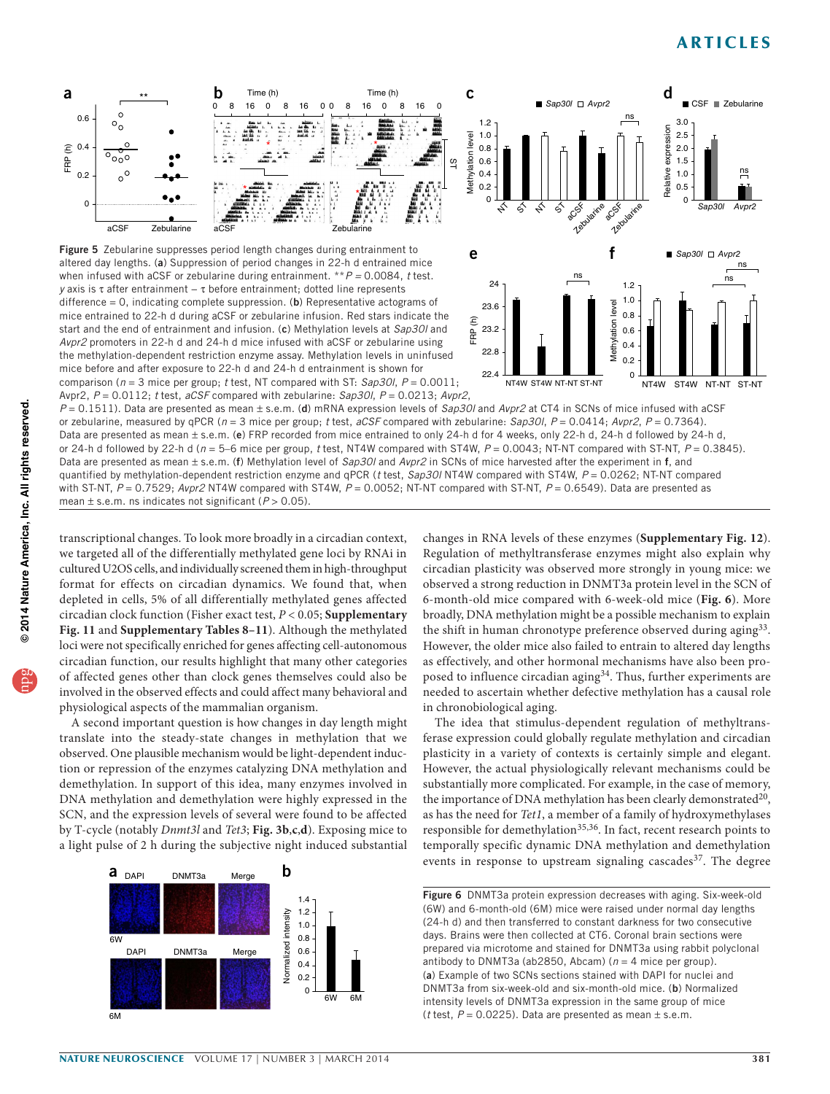CSF **Zebularine** 

d





■ *Sap30l* □ Avpr2

<span id="page-4-0"></span>altered day lengths. (a) Suppression of period changes in 22-h d entrained mice when infused with aCSF or zebularine during entrainment. \*\**P =* 0.0084, *t* test. *y* axis is τ after entrainment – τ before entrainment; dotted line represents difference =  $0$ , indicating complete suppression. (b) Representative actograms of mice entrained to 22-h d during aCSF or zebularine infusion. Red stars indicate the start and the end of entrainment and infusion. (c) Methylation levels at *Sap30l* and *Avpr2* promoters in 22-h d and 24-h d mice infused with aCSF or zebularine using the methylation-dependent restriction enzyme assay. Methylation levels in uninfused mice before and after exposure to 22-h d and 24-h d entrainment is shown for comparison (*n* = 3 mice per group; *t* test, NT compared with ST: *Sap30l*, *P* = 0.0011;

Avpr2, *P* = 0.0112; *t* test, *aCSF* compared with zebularine: *Sap30l*, *P* = 0.0213; *Avpr2*, *P* = 0.1511). Data are presented as mean ± s.e.m. (d) mRNA expression levels of *Sap30l* and *Avpr2* at CT4 in SCNs of mice infused with aCSF or zebularine, measured by qPCR (*n* = 3 mice per group; *t* test, *aCSF* compared with zebularine: *Sap30l*, *P* = 0.0414; *Avpr2*, *P* = 0.7364). Data are presented as mean ± s.e.m. (e) FRP recorded from mice entrained to only 24-h d for 4 weeks, only 22-h d, 24-h d followed by 24-h d, or 24-h d followed by 22-h d (*n* = 5–6 mice per group, *t* test, NT4W compared with ST4W, *P* = 0.0043; NT-NT compared with ST-NT, *P* = 0.3845). Data are presented as mean ± s.e.m. (f) Methylation level of *Sap30l* and *Avpr2* in SCNs of mice harvested after the experiment in f, and quantified by methylation-dependent restriction enzyme and qPCR (*t* test, *Sap30l* NT4W compared with ST4W, *P* = 0.0262; NT-NT compared with ST-NT,  $P = 0.7529$ ; *Avpr2* NT4W compared with ST4W,  $P = 0.0052$ ; NT-NT compared with ST-NT,  $P = 0.6549$ ). Data are presented as mean ± s.e.m. ns indicates not significant (*P* > 0.05).

transcriptional changes. To look more broadly in a circadian context, we targeted all of the differentially methylated gene loci by RNAi in cultured U2OS cells, and individually screened them in high-throughput format for effects on circadian dynamics. We found that, when depleted in cells, 5% of all differentially methylated genes affected circadian clock function (Fisher exact test, *P* < 0.05; **Supplementary Fig. 11** and **Supplementary Tables 8–11**). Although the methylated loci were not specifically enriched for genes affecting cell-autonomous circadian function, our results highlight that many other categories of affected genes other than clock genes themselves could also be involved in the observed effects and could affect many behavioral and physiological aspects of the mammalian organism.

A second important question is how changes in day length might translate into the steady-state changes in methylation that we observed. One plausible mechanism would be light-dependent induction or repression of the enzymes catalyzing DNA methylation and demethylation. In support of this idea, many enzymes involved in DNA methylation and demethylation were highly expressed in the SCN, and the expression levels of several were found to be affected by T-cycle (notably *Dnmt3l* and *Tet3*; **[Fig. 3b](#page-2-0)**,**c**,**d**). Exposing mice to a light pulse of 2 h during the subjective night induced substantial



changes in RNA levels of these enzymes (**Supplementary Fig. 12**). Regulation of methyltransferase enzymes might also explain why circadian plasticity was observed more strongly in young mice: we observed a strong reduction in DNMT3a protein level in the SCN of 6-month-old mice compared with 6-week-old mice (**[Fig. 6](#page-4-1)**). More broadly, DNA methylation might be a possible mechanism to explain the shift in human chronotype preference observed during aging[33](#page-5-31). However, the older mice also failed to entrain to altered day lengths as effectively, and other hormonal mechanisms have also been pro-posed to influence circadian aging<sup>[34](#page-5-32)</sup>. Thus, further experiments are needed to ascertain whether defective methylation has a causal role in chronobiological aging.

The idea that stimulus-dependent regulation of methyltransferase expression could globally regulate methylation and circadian plasticity in a variety of contexts is certainly simple and elegant. However, the actual physiologically relevant mechanisms could be substantially more complicated. For example, in the case of memory, the importance of DNA methylation has been clearly demonstrated<sup>[20](#page-5-18)</sup>, as has the need for *Tet1*, a member of a family of hydroxymethylases responsible for demethylation<sup>[35,](#page-5-33)[36](#page-5-34)</sup>. In fact, recent research points to temporally specific dynamic DNA methylation and demethylation events in response to upstream signaling cascades<sup>[37](#page-5-35)</sup>. The degree

<span id="page-4-1"></span>Figure 6 DNMT3a protein expression decreases with aging. Six-week-old (6W) and 6-month-old (6M) mice were raised under normal day lengths (24-h d) and then transferred to constant darkness for two consecutive days. Brains were then collected at CT6. Coronal brain sections were prepared via microtome and stained for DNMT3a using rabbit polyclonal antibody to DNMT3a (ab2850, Abcam) ( $n = 4$  mice per group). (a) Example of two SCNs sections stained with DAPI for nuclei and DNMT3a from six-week-old and six-month-old mice. (b) Normalized intensity levels of DNMT3a expression in the same group of mice ( $t$  test,  $P = 0.0225$ ). Data are presented as mean  $\pm$  s.e.m.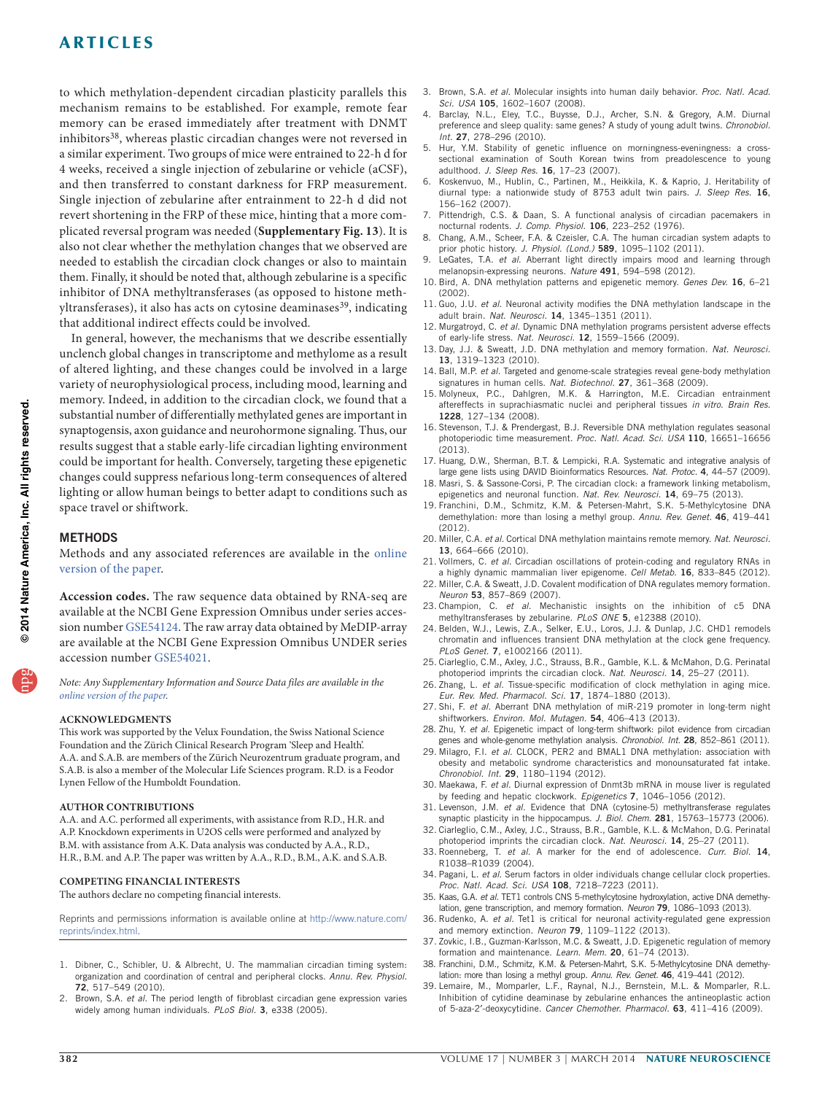to which methylation-dependent circadian plasticity parallels this mechanism remains to be established. For example, remote fear memory can be erased immediately after treatment with DNMT inhibitors<sup>[38](#page-5-36)</sup>, whereas plastic circadian changes were not reversed in a similar experiment. Two groups of mice were entrained to 22-h d for 4 weeks, received a single injection of zebularine or vehicle (aCSF), and then transferred to constant darkness for FRP measurement. Single injection of zebularine after entrainment to 22-h d did not revert shortening in the FRP of these mice, hinting that a more complicated reversal program was needed (**Supplementary Fig. 13**). It is also not clear whether the methylation changes that we observed are needed to establish the circadian clock changes or also to maintain them. Finally, it should be noted that, although zebularine is a specific inhibitor of DNA methyltransferases (as opposed to histone methyltransferases), it also has acts on cytosine deaminases<sup>39</sup>, indicating that additional indirect effects could be involved.

In general, however, the mechanisms that we describe essentially unclench global changes in transcriptome and methylome as a result of altered lighting, and these changes could be involved in a large variety of neurophysiological process, including mood, learning and memory. Indeed, in addition to the circadian clock, we found that a substantial number of differentially methylated genes are important in synaptogensis, axon guidance and neurohormone signaling. Thus, our results suggest that a stable early-life circadian lighting environment could be important for health. Conversely, targeting these epigenetic changes could suppress nefarious long-term consequences of altered lighting or allow human beings to better adapt to conditions such as space travel or shiftwork.

### **MFTHODS**

Methods and any associated references are available in the [online](http://www.nature.com/doifinder/10.1038/nn.3651) [version](http://www.nature.com/doifinder/10.1038/nn.3651) of the paper.

**Accession codes.** The raw sequence data obtained by RNA-seq are available at the NCBI Gene Expression Omnibus under series accession number [GSE54124](http://www.ncbi.nlm.nih.gov/geo/query/acc.cgi?acc=GSE54124). The raw array data obtained by MeDIP-array are available at the NCBI Gene Expression Omnibus UNDER series accession number [GSE54021.](http://www.ncbi.nlm.nih.gov/geo/query/acc.cgi?acc=GSE54021)

*Note: Any Supplementary Information and Source Data files are available in the online [version](http://www.nature.com/doifinder/10.1038/nn.3651) of the paper.*

#### **Acknowledgments**

This work was supported by the Velux Foundation, the Swiss National Science Foundation and the Zürich Clinical Research Program 'Sleep and Health'. A.A. and S.A.B. are members of the Zürich Neurozentrum graduate program, and S.A.B. is also a member of the Molecular Life Sciences program. R.D. is a Feodor Lynen Fellow of the Humboldt Foundation.

#### **AUTHOR CONTRIBUTIONS**

A.A. and A.C. performed all experiments, with assistance from R.D., H.R. and A.P. Knockdown experiments in U2OS cells were performed and analyzed by B.M. with assistance from A.K. Data analysis was conducted by A.A., R.D., H.R., B.M. and A.P. The paper was written by A.A., R.D., B.M., A.K. and S.A.B.

#### **COMPETING FINANCIAL INTERESTS**

The authors declare no competing financial interests.

Reprints and permissions information is available online at [http://www.nature.com/](http://www.nature.com/reprints/index.html) [reprints/index.html](http://www.nature.com/reprints/index.html).

- <span id="page-5-0"></span>1. Dibner, C., Schibler, U. & Albrecht, U. The mammalian circadian timing system: organization and coordination of central and peripheral clocks. *Annu. Rev. Physiol.* 72, 517–549 (2010).
- <span id="page-5-1"></span>2. Brown, S.A. *et al.* The period length of fibroblast circadian gene expression varies widely among human individuals. *PLoS Biol.* 3, e338 (2005).
- <span id="page-5-2"></span>3. Brown, S.A. *et al.* Molecular insights into human daily behavior. *Proc. Natl. Acad. Sci. USA* 105, 1602–1607 (2008).
- <span id="page-5-3"></span>4. Barclay, N.L., Eley, T.C., Buysse, D.J., Archer, S.N. & Gregory, A.M. Diurnal preference and sleep quality: same genes? A study of young adult twins. *Chronobiol. Int.* 27, 278–296 (2010).
- 5. Hur, Y.M. Stability of genetic influence on morningness-eveningness: a crosssectional examination of South Korean twins from preadolescence to young adulthood. *J. Sleep Res.* 16, 17–23 (2007).
- <span id="page-5-4"></span>6. Koskenvuo, M., Hublin, C., Partinen, M., Heikkila, K. & Kaprio, J. Heritability of diurnal type: a nationwide study of 8753 adult twin pairs. *J. Sleep Res.* 16, 156–162 (2007).
- <span id="page-5-5"></span>Pittendrigh, C.S. & Daan, S. A functional analysis of circadian pacemakers in nocturnal rodents. *J. Comp. Physiol.* 106, 223–252 (1976).
- <span id="page-5-6"></span>8. Chang, A.M., Scheer, F.A. & Czeisler, C.A. The human circadian system adapts to prior photic history. *J. Physiol. (Lond.)* 589, 1095–1102 (2011).
- <span id="page-5-7"></span>9. LeGates, T.A. *et al.* Aberrant light directly impairs mood and learning through melanopsin-expressing neurons. *Nature* 491, 594–598 (2012).
- <span id="page-5-8"></span>10. Bird, A. DNA methylation patterns and epigenetic memory. *Genes Dev.* 16, 6–21 (2002).
- <span id="page-5-9"></span>11. Guo, J.U. *et al.* Neuronal activity modifies the DNA methylation landscape in the adult brain. *Nat. Neurosci.* 14, 1345–1351 (2011).
- <span id="page-5-10"></span>12. Murgatroyd, C. *et al.* Dynamic DNA methylation programs persistent adverse effects of early-life stress. *Nat. Neurosci.* 12, 1559–1566 (2009).
- <span id="page-5-11"></span>13. Day, J.J. & Sweatt, J.D. DNA methylation and memory formation. *Nat. Neurosci.* 13, 1319–1323 (2010).
- <span id="page-5-12"></span>14. Ball, M.P. *et al.* Targeted and genome-scale strategies reveal gene-body methylation signatures in human cells. *Nat. Biotechnol.* 27, 361–368 (2009).
- <span id="page-5-13"></span>15. Molyneux, P.C., Dahlgren, M.K. & Harrington, M.E. Circadian entrainment aftereffects in suprachiasmatic nuclei and peripheral tissues *in vitro*. *Brain Res.* 1228, 127–134 (2008).
- <span id="page-5-14"></span>16. Stevenson, T.J. & Prendergast, B.J. Reversible DNA methylation regulates seasonal photoperiodic time measurement. *Proc. Natl. Acad. Sci. USA* 110, 16651–16656 (2013).
- <span id="page-5-15"></span>17. Huang, D.W., Sherman, B.T. & Lempicki, R.A. Systematic and integrative analysis of large gene lists using DAVID Bioinformatics Resources. *Nat. Protoc.* 4, 44–57 (2009).
- <span id="page-5-16"></span>18. Masri, S. & Sassone-Corsi, P. The circadian clock: a framework linking metabolism, epigenetics and neuronal function. *Nat. Rev. Neurosci.* 14, 69–75 (2013).
- <span id="page-5-17"></span>19. Franchini, D.M., Schmitz, K.M. & Petersen-Mahrt, S.K. 5-Methylcytosine DNA demethylation: more than losing a methyl group. *Annu. Rev. Genet.* 46, 419–441 (2012).
- <span id="page-5-18"></span>20. Miller, C.A. *et al.* Cortical DNA methylation maintains remote memory. *Nat. Neurosci.* 13, 664–666 (2010).
- <span id="page-5-19"></span>21. Vollmers, C. *et al.* Circadian oscillations of protein-coding and regulatory RNAs in a highly dynamic mammalian liver epigenome. *Cell Metab.* 16, 833–845 (2012).
- <span id="page-5-20"></span>22. Miller, C.A. & Sweatt, J.D. Covalent modification of DNA regulates memory formation. *Neuron* 53, 857–869 (2007).
- <span id="page-5-21"></span>23. Champion, C. *et al.* Mechanistic insights on the inhibition of c5 DNA methyltransferases by zebularine. *PLoS ONE* 5, e12388 (2010).
- <span id="page-5-22"></span>24. Belden, W.J., Lewis, Z.A., Selker, E.U., Loros, J.J. & Dunlap, J.C. CHD1 remodels chromatin and influences transient DNA methylation at the clock gene frequency. *PLoS Genet.* 7, e1002166 (2011).
- <span id="page-5-23"></span>25. Ciarleglio, C.M., Axley, J.C., Strauss, B.R., Gamble, K.L. & McMahon, D.G. Perinatal photoperiod imprints the circadian clock. *Nat. Neurosci.* 14, 25–27 (2011).
- <span id="page-5-24"></span>26. Zhang, L. *et al.* Tissue-specific modification of clock methylation in aging mice. *Eur. Rev. Med. Pharmacol. Sci.* 17, 1874–1880 (2013).
- <span id="page-5-25"></span>27. Shi, F. *et al.* Aberrant DNA methylation of miR-219 promoter in long-term night shiftworkers. *Environ. Mol. Mutagen.* 54, 406–413 (2013).
- <span id="page-5-26"></span>28. Zhu, Y. *et al.* Epigenetic impact of long-term shiftwork: pilot evidence from circadian genes and whole-genome methylation analysis. *Chronobiol. Int.* 28, 852–861 (2011).
- <span id="page-5-27"></span>29. Milagro, F.I. *et al.* CLOCK, PER2 and BMAL1 DNA methylation: association with obesity and metabolic syndrome characteristics and monounsaturated fat intake. *Chronobiol. Int.* 29, 1180–1194 (2012).
- <span id="page-5-28"></span>30. Maekawa, F. *et al.* Diurnal expression of Dnmt3b mRNA in mouse liver is regulated by feeding and hepatic clockwork. *Epigenetics* 7, 1046–1056 (2012).
- <span id="page-5-29"></span>31. Levenson, J.M. *et al.* Evidence that DNA (cytosine-5) methyltransferase regulates synaptic plasticity in the hippocampus. *J. Biol. Chem.* 281, 15763–15773 (2006).
- <span id="page-5-30"></span>32. Ciarleglio, C.M., Axley, J.C., Strauss, B.R., Gamble, K.L. & McMahon, D.G. Perinatal photoperiod imprints the circadian clock. *Nat. Neurosci.* 14, 25–27 (2011).
- <span id="page-5-31"></span>33. Roenneberg, T. *et al.* A marker for the end of adolescence. *Curr. Biol.* 14, R1038–R1039 (2004).
- <span id="page-5-32"></span>34. Pagani, L. *et al.* Serum factors in older individuals change cellular clock properties. *Proc. Natl. Acad. Sci. USA* 108, 7218–7223 (2011).
- <span id="page-5-33"></span>35. Kaas, G.A. *et al.* TET1 controls CNS 5-methylcytosine hydroxylation, active DNA demethylation, gene transcription, and memory formation. *Neuron* 79, 1086–1093 (2013).
- <span id="page-5-34"></span>36. Rudenko, A. *et al.* Tet1 is critical for neuronal activity-regulated gene expression and memory extinction. *Neuron* 79, 1109–1122 (2013).
- <span id="page-5-35"></span>37. Zovkic, I.B., Guzman-Karlsson, M.C. & Sweatt, J.D. Epigenetic regulation of memory formation and maintenance. *Learn. Mem.* 20, 61–74 (2013).
- <span id="page-5-36"></span>38. Franchini, D.M., Schmitz, K.M. & Petersen-Mahrt, S.K. 5-Methylcytosine DNA demethylation: more than losing a methyl group. *Annu. Rev. Genet.* 46, 419–441 (2012).
- <span id="page-5-37"></span>39. Lemaire, M., Momparler, L.F., Raynal, N.J., Bernstein, M.L. & Momparler, R.L. Inhibition of cytidine deaminase by zebularine enhances the antineoplastic action of 5-aza-2′-deoxycytidine. *Cancer Chemother. Pharmacol.* 63, 411–416 (2009).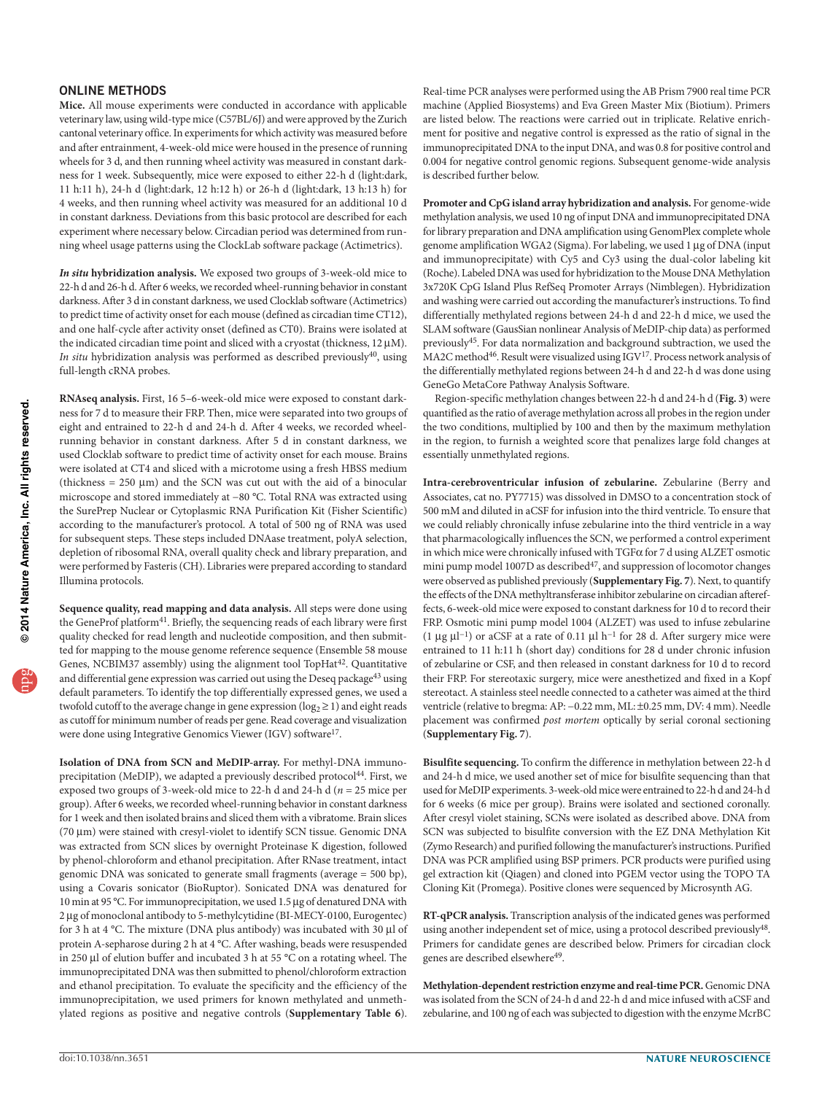#### ONLINE METHODS

**Mice.** All mouse experiments were conducted in accordance with applicable veterinary law, using wild-type mice (C57BL/6J) and were approved by the Zurich cantonal veterinary office. In experiments for which activity was measured before and after entrainment, 4-week-old mice were housed in the presence of running wheels for 3 d, and then running wheel activity was measured in constant darkness for 1 week. Subsequently, mice were exposed to either 22-h d (light:dark, 11 h:11 h), 24-h d (light:dark, 12 h:12 h) or 26-h d (light:dark, 13 h:13 h) for 4 weeks, and then running wheel activity was measured for an additional 10 d in constant darkness. Deviations from this basic protocol are described for each experiment where necessary below. Circadian period was determined from running wheel usage patterns using the ClockLab software package (Actimetrics).

*In situ* **hybridization analysis.** We exposed two groups of 3-week-old mice to 22-h d and 26-h d. After 6 weeks, we recorded wheel-running behavior in constant darkness. After 3 d in constant darkness, we used Clocklab software (Actimetrics) to predict time of activity onset for each mouse (defined as circadian time CT12), and one half-cycle after activity onset (defined as CT0). Brains were isolated at the indicated circadian time point and sliced with a cryostat (thickness, 12 µM). *In situ* hybridization analysis was performed as described previously<sup>40</sup>, using full-length cRNA probes.

**RNAseq analysis.** First, 16 5–6-week-old mice were exposed to constant darkness for 7 d to measure their FRP. Then, mice were separated into two groups of eight and entrained to 22-h d and 24-h d. After 4 weeks, we recorded wheelrunning behavior in constant darkness. After 5 d in constant darkness, we used Clocklab software to predict time of activity onset for each mouse. Brains were isolated at CT4 and sliced with a microtome using a fresh HBSS medium (thickness  $= 250 \text{ }\mu\text{m}$ ) and the SCN was cut out with the aid of a binocular microscope and stored immediately at −80 °C. Total RNA was extracted using the SurePrep Nuclear or Cytoplasmic RNA Purification Kit (Fisher Scientific) according to the manufacturer's protocol. A total of 500 ng of RNA was used for subsequent steps. These steps included DNAase treatment, polyA selection, depletion of ribosomal RNA, overall quality check and library preparation, and were performed by Fasteris (CH). Libraries were prepared according to standard Illumina protocols.

**Sequence quality, read mapping and data analysis.** All steps were done using the GeneProf platform<sup>41</sup>. Briefly, the sequencing reads of each library were first quality checked for read length and nucleotide composition, and then submitted for mapping to the mouse genome reference sequence (Ensemble 58 mouse Genes, NCBIM37 assembly) using the alignment tool TopHat<sup>[42](#page-7-2)</sup>. Quantitative and differential gene expression was carried out using the Deseq package<sup>43</sup> using default parameters. To identify the top differentially expressed genes, we used a twofold cutoff to the average change in gene expression ( $log_2 \geq 1$ ) and eight reads as cutoff for minimum number of reads per gene. Read coverage and visualization were done using Integrative Genomics Viewer (IGV) softwar[e17.](#page-5-15)

**Isolation of DNA from SCN and MeDIP-array.** For methyl-DNA immunoprecipitation (MeDIP), we adapted a previously described protocol<sup>44</sup>. First, we exposed two groups of 3-week-old mice to 22-h d and 24-h d (*n* = 25 mice per group). After 6 weeks, we recorded wheel-running behavior in constant darkness for 1 week and then isolated brains and sliced them with a vibratome. Brain slices (70 µm) were stained with cresyl-violet to identify SCN tissue. Genomic DNA was extracted from SCN slices by overnight Proteinase K digestion, followed by phenol-chloroform and ethanol precipitation. After RNase treatment, intact genomic DNA was sonicated to generate small fragments (average = 500 bp), using a Covaris sonicator (BioRuptor). Sonicated DNA was denatured for 10 min at 95 °C. For immunoprecipitation, we used 1.5 µg of denatured DNA with 2 µg of monoclonal antibody to 5-methylcytidine (BI-MECY-0100, Eurogentec) for 3 h at 4 °C. The mixture (DNA plus antibody) was incubated with 30  $\mu$ l of protein A-sepharose during 2 h at 4 °C. After washing, beads were resuspended in 250 µl of elution buffer and incubated 3 h at 55 °C on a rotating wheel. The immunoprecipitated DNA was then submitted to phenol/chloroform extraction and ethanol precipitation. To evaluate the specificity and the efficiency of the immunoprecipitation, we used primers for known methylated and unmethylated regions as positive and negative controls (**Supplementary Table 6**).

Real-time PCR analyses were performed using the AB Prism 7900 real time PCR machine (Applied Biosystems) and Eva Green Master Mix (Biotium). Primers are listed below. The reactions were carried out in triplicate. Relative enrichment for positive and negative control is expressed as the ratio of signal in the immunoprecipitated DNA to the input DNA, and was 0.8 for positive control and 0.004 for negative control genomic regions. Subsequent genome-wide analysis is described further below.

**Promoter and CpG island array hybridization and analysis.** For genome-wide methylation analysis, we used 10 ng of input DNA and immunoprecipitated DNA for library preparation and DNA amplification using GenomPlex complete whole genome amplification WGA2 (Sigma). For labeling, we used 1 µg of DNA (input and immunoprecipitate) with Cy5 and Cy3 using the dual-color labeling kit (Roche). Labeled DNA was used for hybridization to the Mouse DNA Methylation 3x720K CpG Island Plus RefSeq Promoter Arrays (Nimblegen). Hybridization and washing were carried out according the manufacturer's instructions. To find differentially methylated regions between 24-h d and 22-h d mice, we used the SLAM software (GausSian nonlinear Analysis of MeDIP-chip data) as performed previously[45](#page-7-5). For data normalization and background subtraction, we used the MA2C method<sup>[46](#page-7-6)</sup>. Result were visualized using IGV<sup>17</sup>. Process network analysis of the differentially methylated regions between 24-h d and 22-h d was done using GeneGo MetaCore Pathway Analysis Software.

Region-specific methylation changes between 22-h d and 24-h d (**[Fig. 3](#page-2-0)**) were quantified as the ratio of average methylation across all probes in the region under the two conditions, multiplied by 100 and then by the maximum methylation in the region, to furnish a weighted score that penalizes large fold changes at essentially unmethylated regions.

**Intra-cerebroventricular infusion of zebularine.** Zebularine (Berry and Associates, cat no. PY7715) was dissolved in DMSO to a concentration stock of 500 mM and diluted in aCSF for infusion into the third ventricle. To ensure that we could reliably chronically infuse zebularine into the third ventricle in a way that pharmacologically influences the SCN, we performed a control experiment in which mice were chronically infused with  $TGF\alpha$  for 7 d using ALZET osmotic mini pump model 1007D as described<sup>47</sup>, and suppression of locomotor changes were observed as published previously (**Supplementary Fig. 7**). Next, to quantify the effects of the DNA methyltransferase inhibitor zebularine on circadian aftereffects, 6-week-old mice were exposed to constant darkness for 10 d to record their FRP. Osmotic mini pump model 1004 (ALZET) was used to infuse zebularine (1 µg  $\mu$ l<sup>-1</sup>) or aCSF at a rate of 0.11  $\mu$ l h<sup>-1</sup> for 28 d. After surgery mice were entrained to 11 h:11 h (short day) conditions for 28 d under chronic infusion of zebularine or CSF, and then released in constant darkness for 10 d to record their FRP. For stereotaxic surgery, mice were anesthetized and fixed in a Kopf stereotact. A stainless steel needle connected to a catheter was aimed at the third ventricle (relative to bregma: AP: −0.22 mm, ML: ±0.25 mm, DV: 4 mm). Needle placement was confirmed *post mortem* optically by serial coronal sectioning (**Supplementary Fig. 7**).

**Bisulfite sequencing.** To confirm the difference in methylation between 22-h d and 24-h d mice, we used another set of mice for bisulfite sequencing than that used for MeDIP experiments. 3-week-old mice were entrained to 22-h d and 24-h d for 6 weeks (6 mice per group). Brains were isolated and sectioned coronally. After cresyl violet staining, SCNs were isolated as described above. DNA from SCN was subjected to bisulfite conversion with the EZ DNA Methylation Kit (Zymo Research) and purified following the manufacturer's instructions. Purified DNA was PCR amplified using BSP primers. PCR products were purified using gel extraction kit (Qiagen) and cloned into PGEM vector using the TOPO TA Cloning Kit (Promega). Positive clones were sequenced by Microsynth AG.

**RT-qPCR analysis.** Transcription analysis of the indicated genes was performed using another independent set of mice, using a protocol described previously<sup>48</sup>. Primers for candidate genes are described below. Primers for circadian clock genes are described elsewhere<sup>[49](#page-7-9)</sup>.

**Methylation-dependent restriction enzyme and real-time PCR.** Genomic DNA was isolated from the SCN of 24-h d and 22-h d and mice infused with aCSF and zebularine, and 100 ng of each was subjected to digestion with the enzyme McrBC